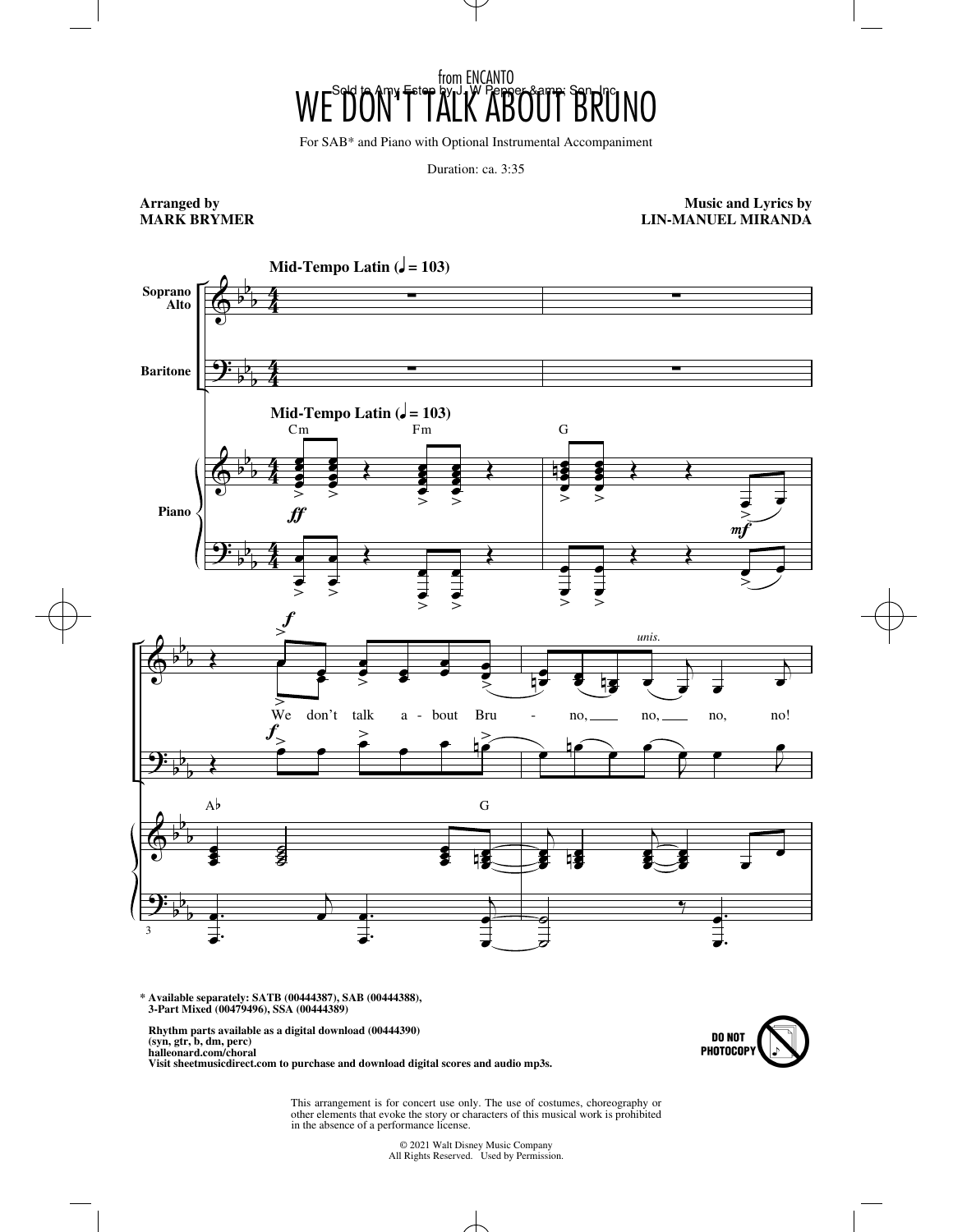## WE<sup>S</sup>DON'T TALK ABOUT BRUNO from ENCANTO

For SAB\* and Piano with Optional Instrumental Accompaniment

Duration: ca. 3:35

## **Arranged by MARK BRYMER**

**Music and Lyrics by LIN-MANUEL MIRANDA**



**\* Available separately: SATB (00444387), SAB (00444388), 3-Part Mixed (00479496), SSA (00444389)**

 **Rhythm parts available as a digital download (00444390) (syn, gtr, b, dm, perc)**

 **halleonard.com/choral Visit sheetmusicdirect.com to purchase and download digital scores and audio mp3s.**



This arrangement is for concert use only. The use of costumes, choreography or other elements that evoke the story or characters of this musical work is prohibited in the absence of a performance license.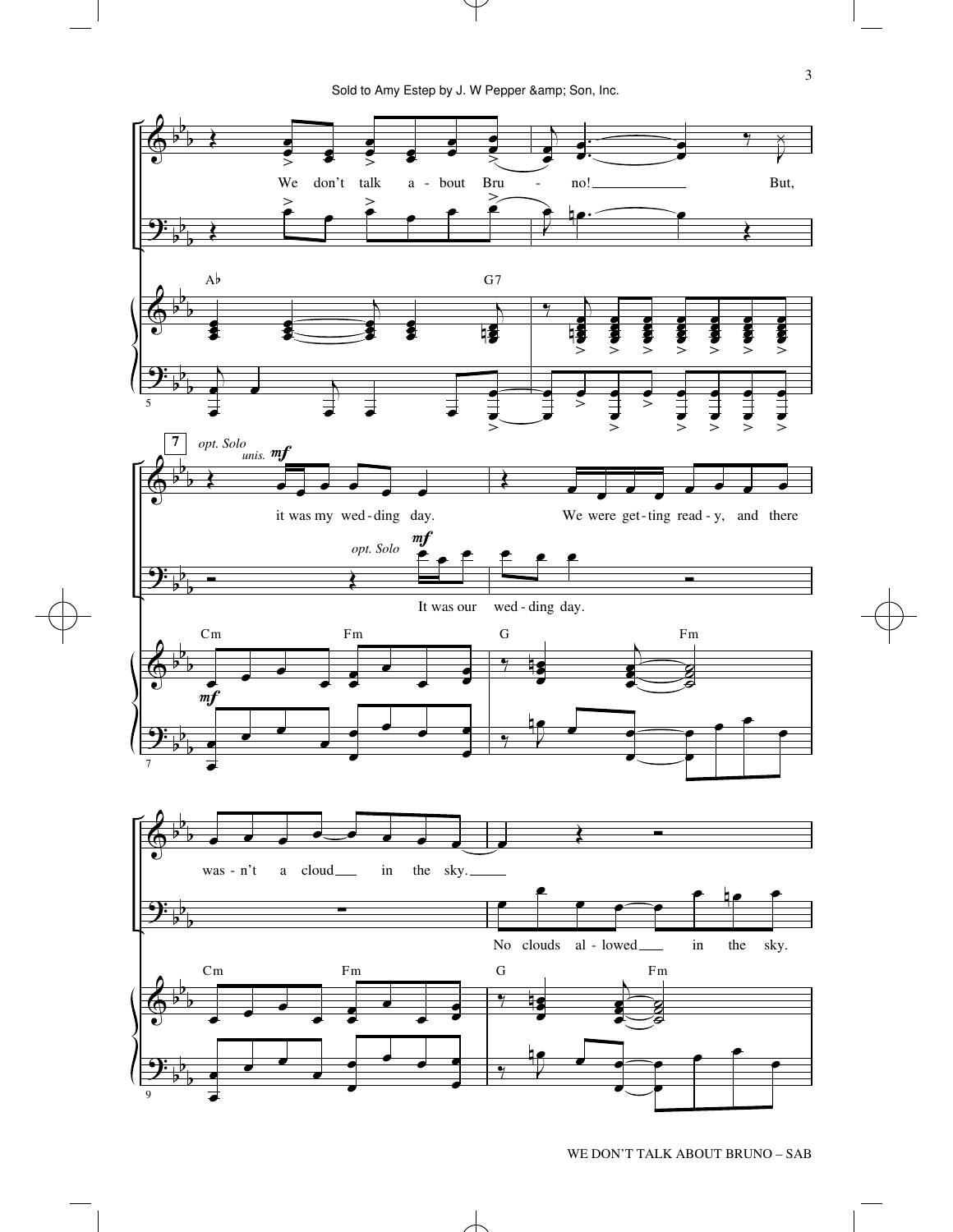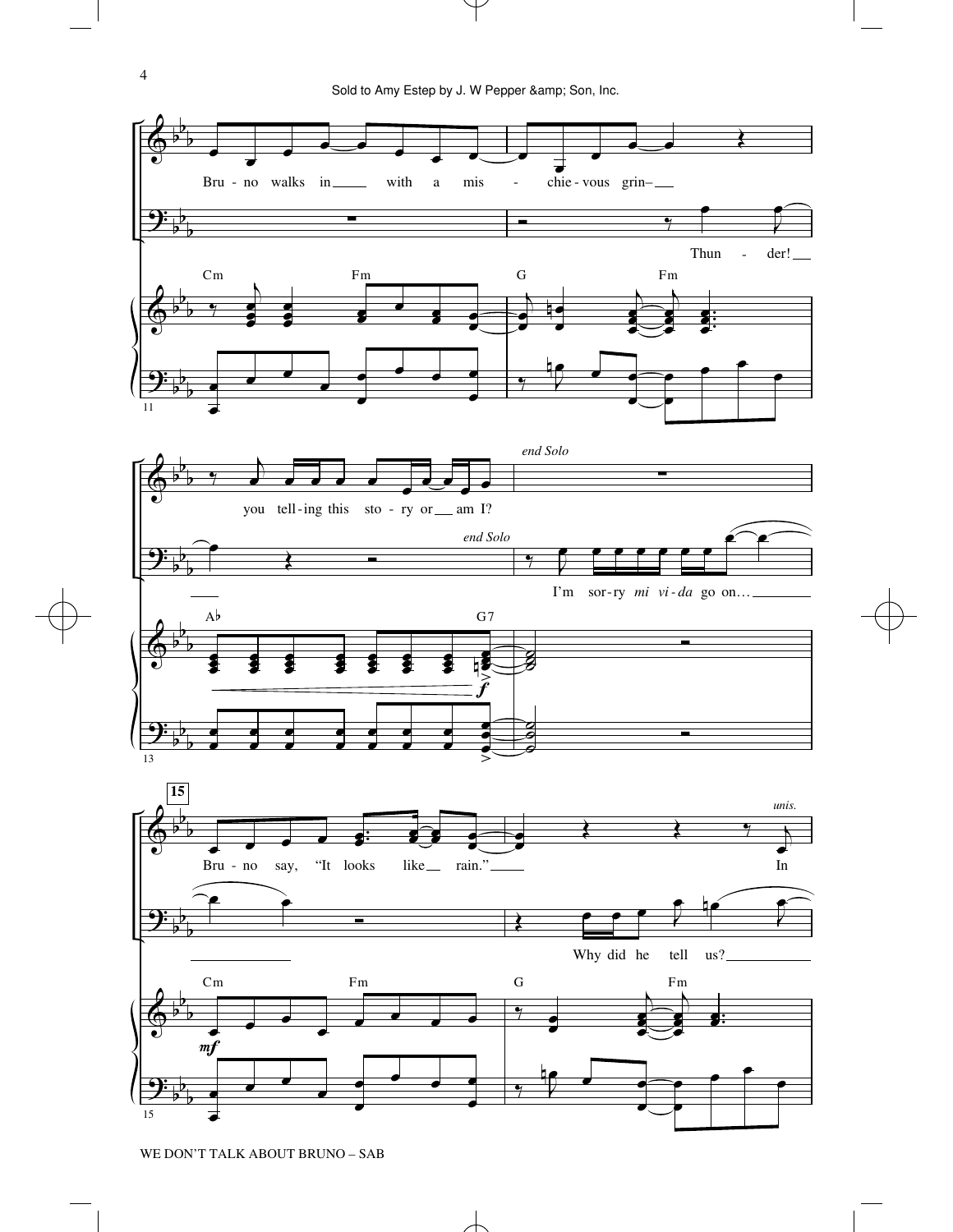

WE DON'T TALK ABOUT BRUNO – SAB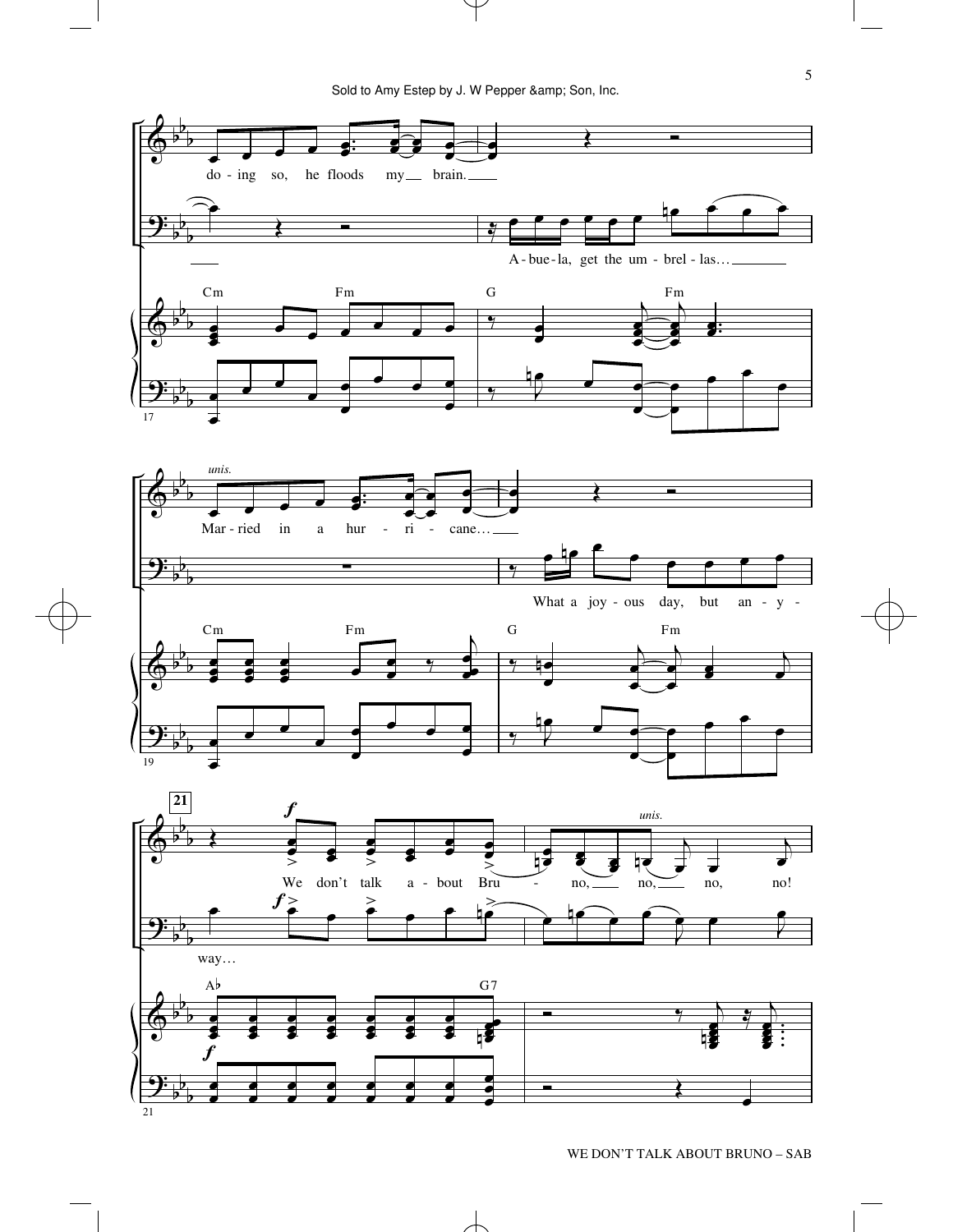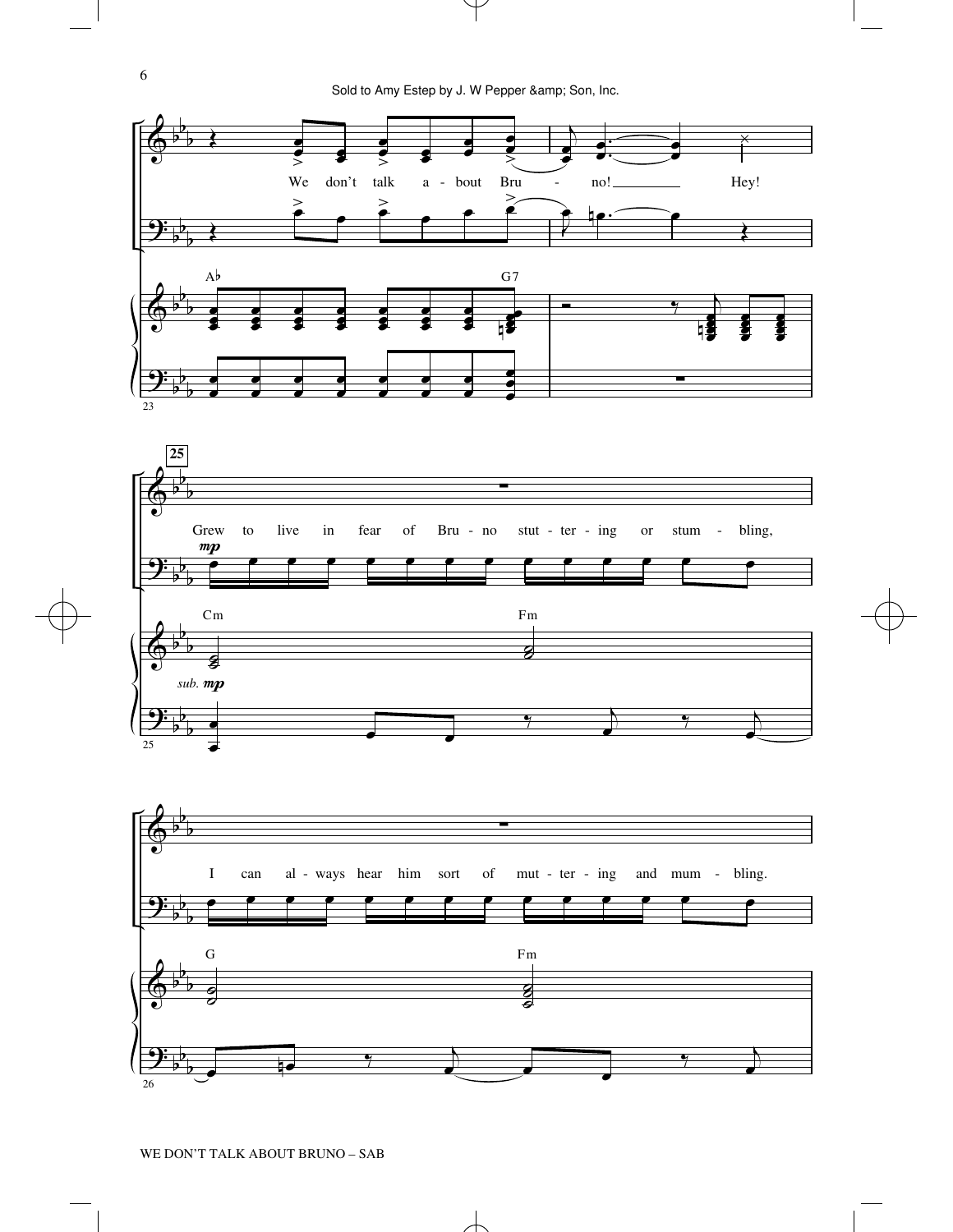



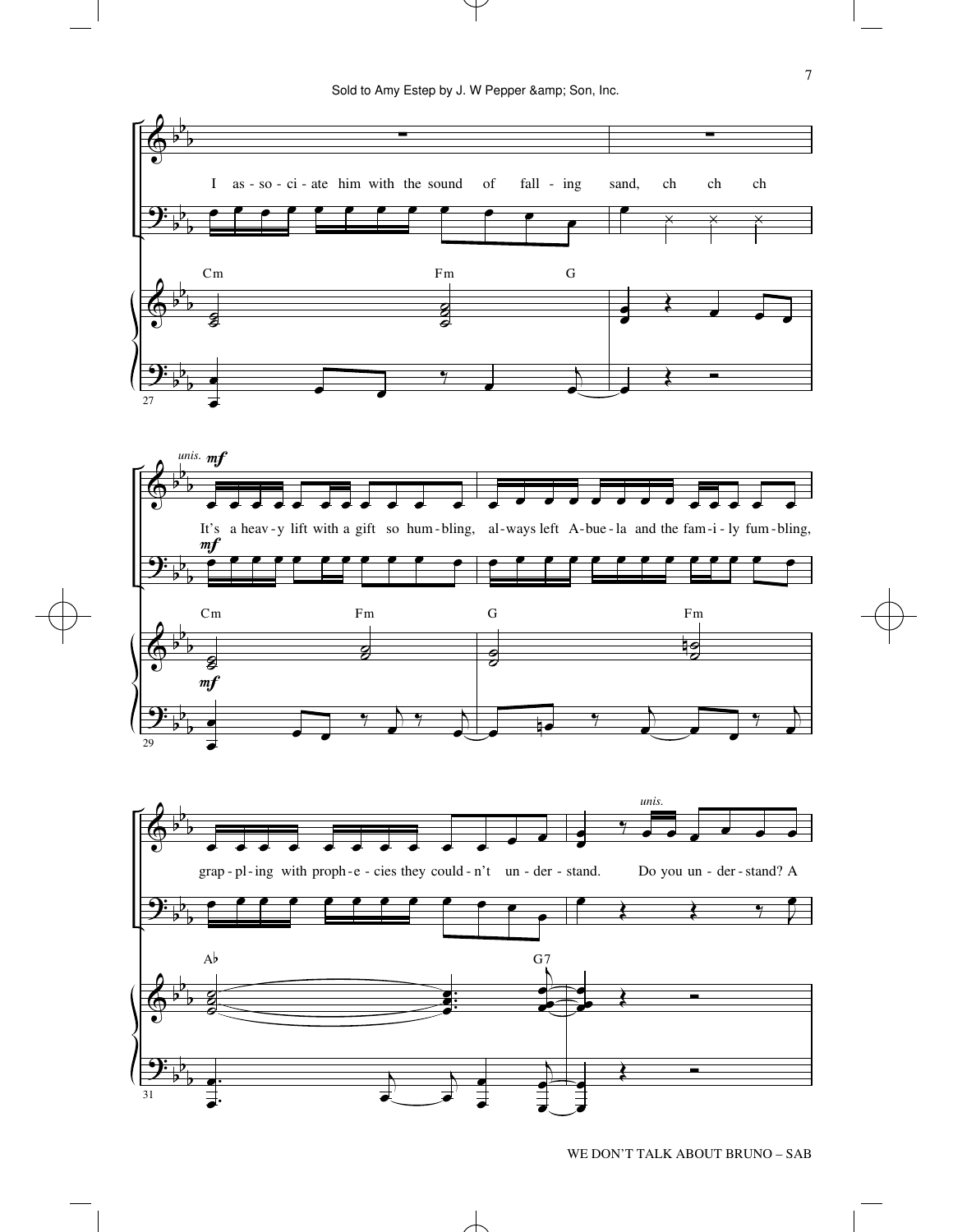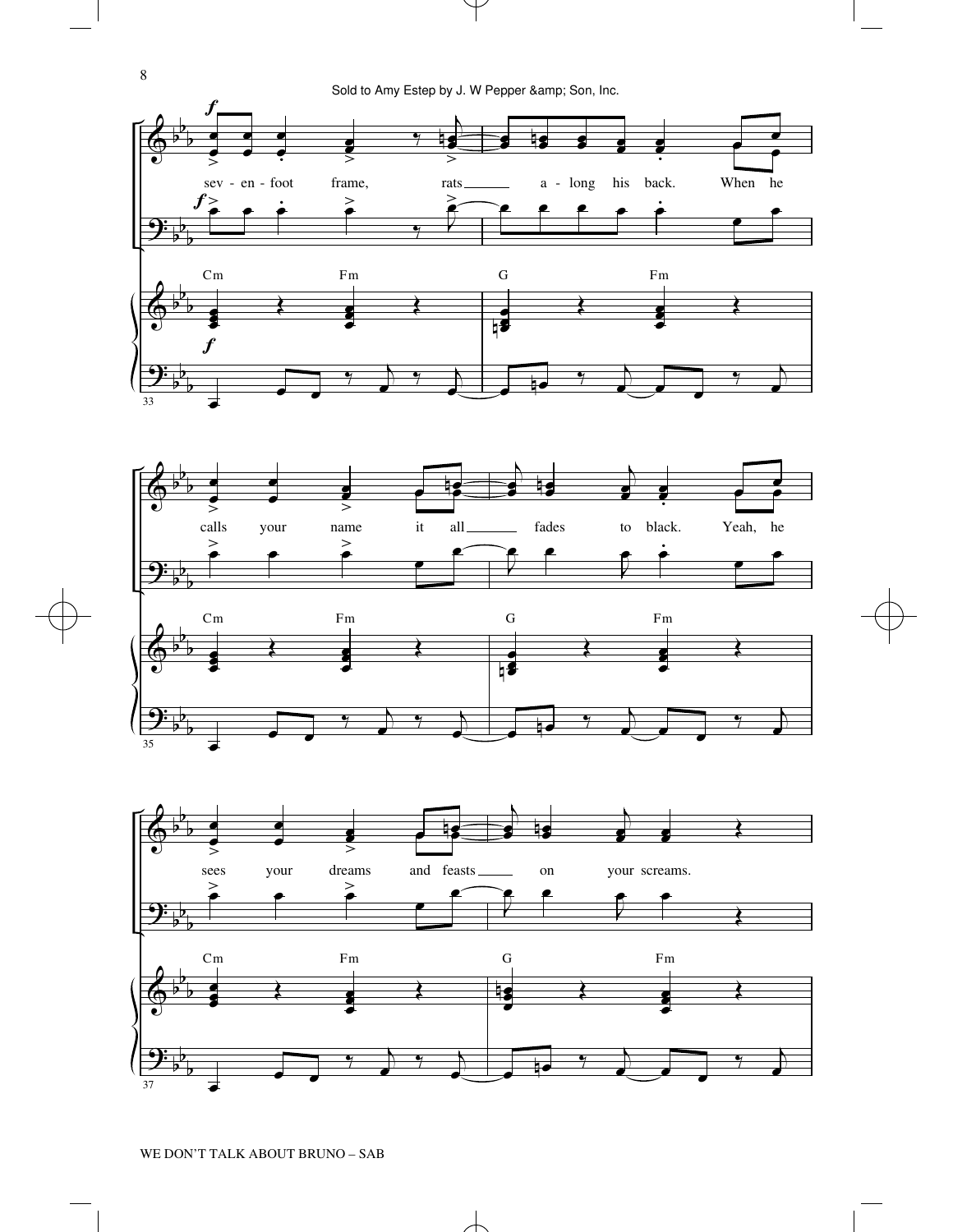



8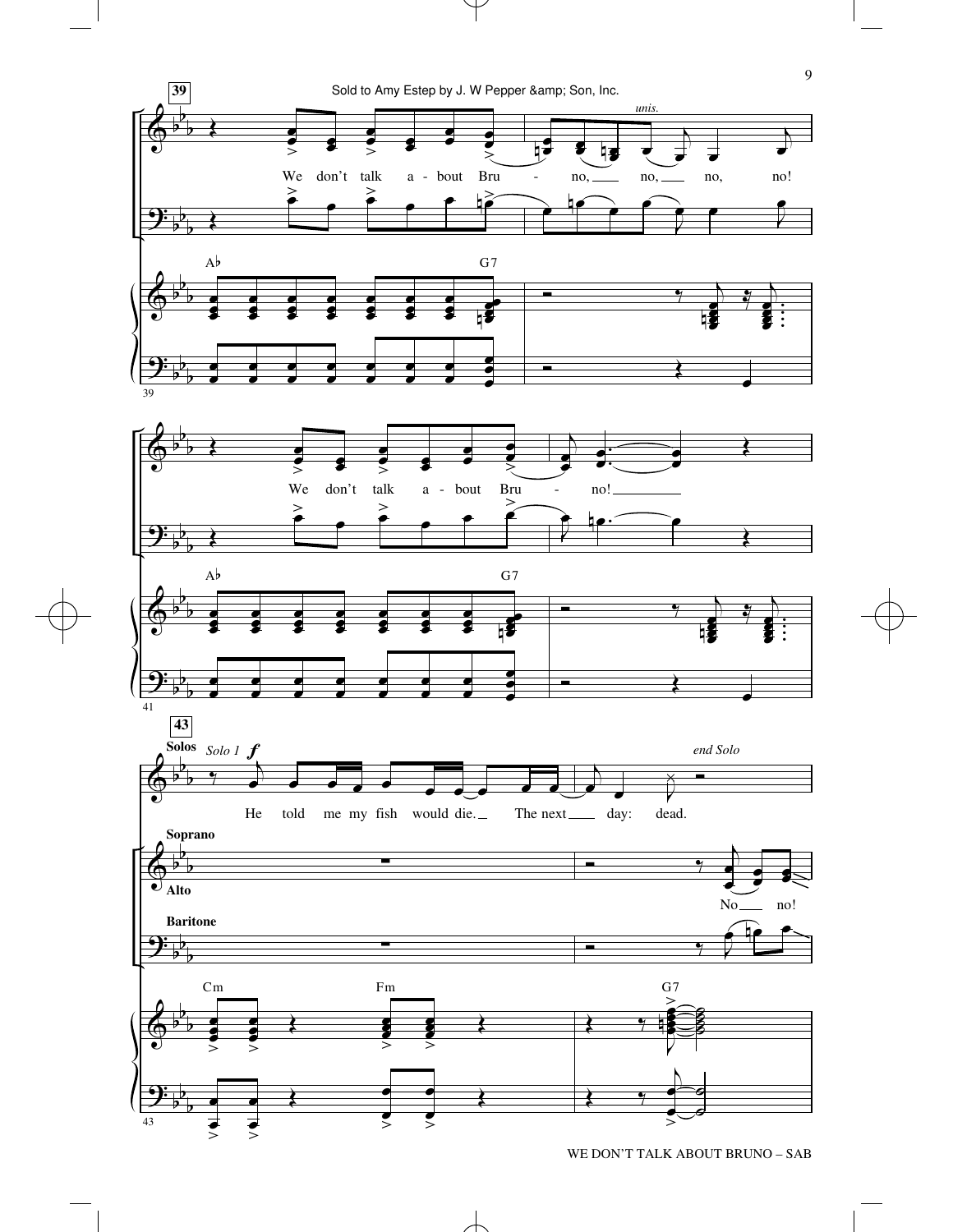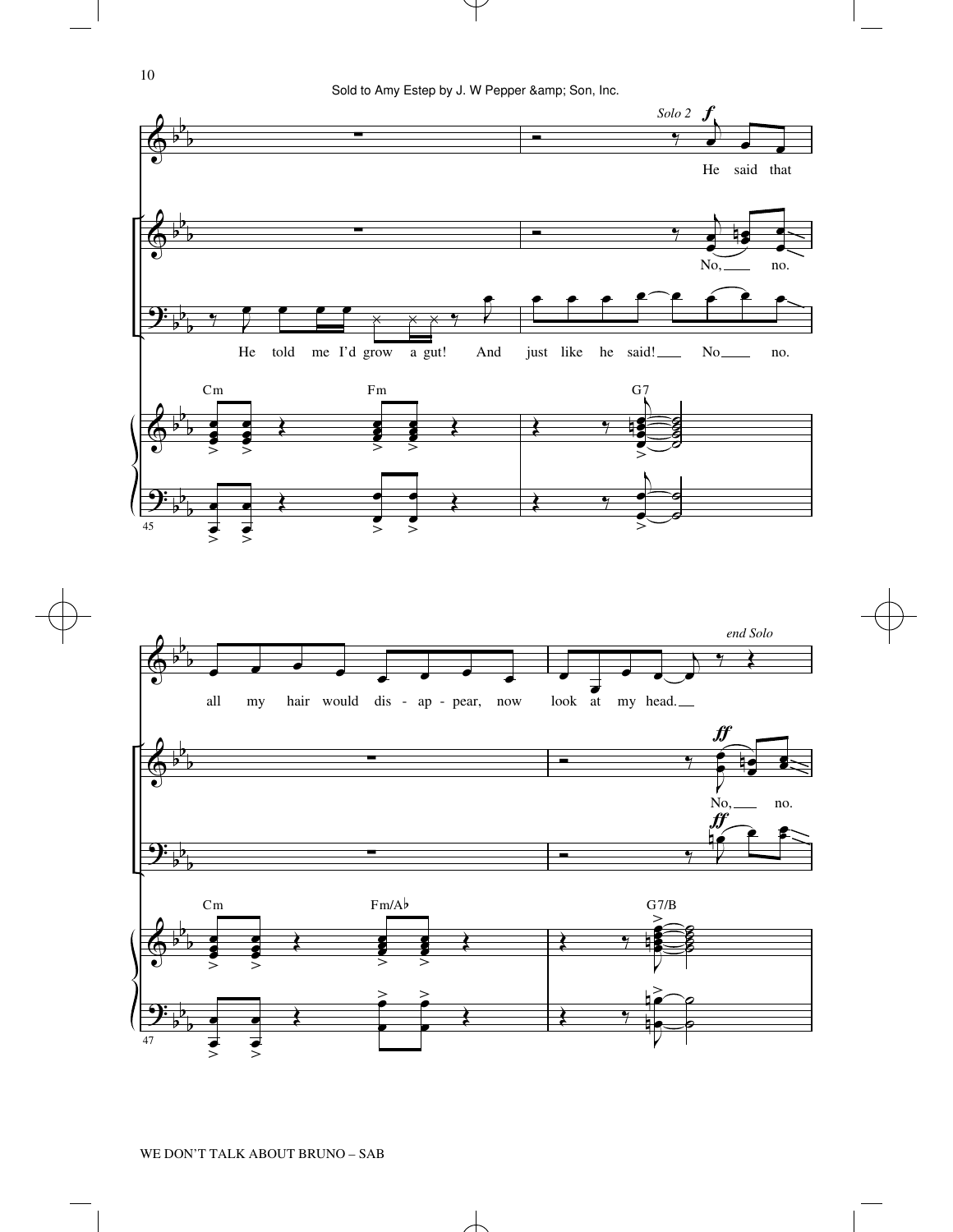

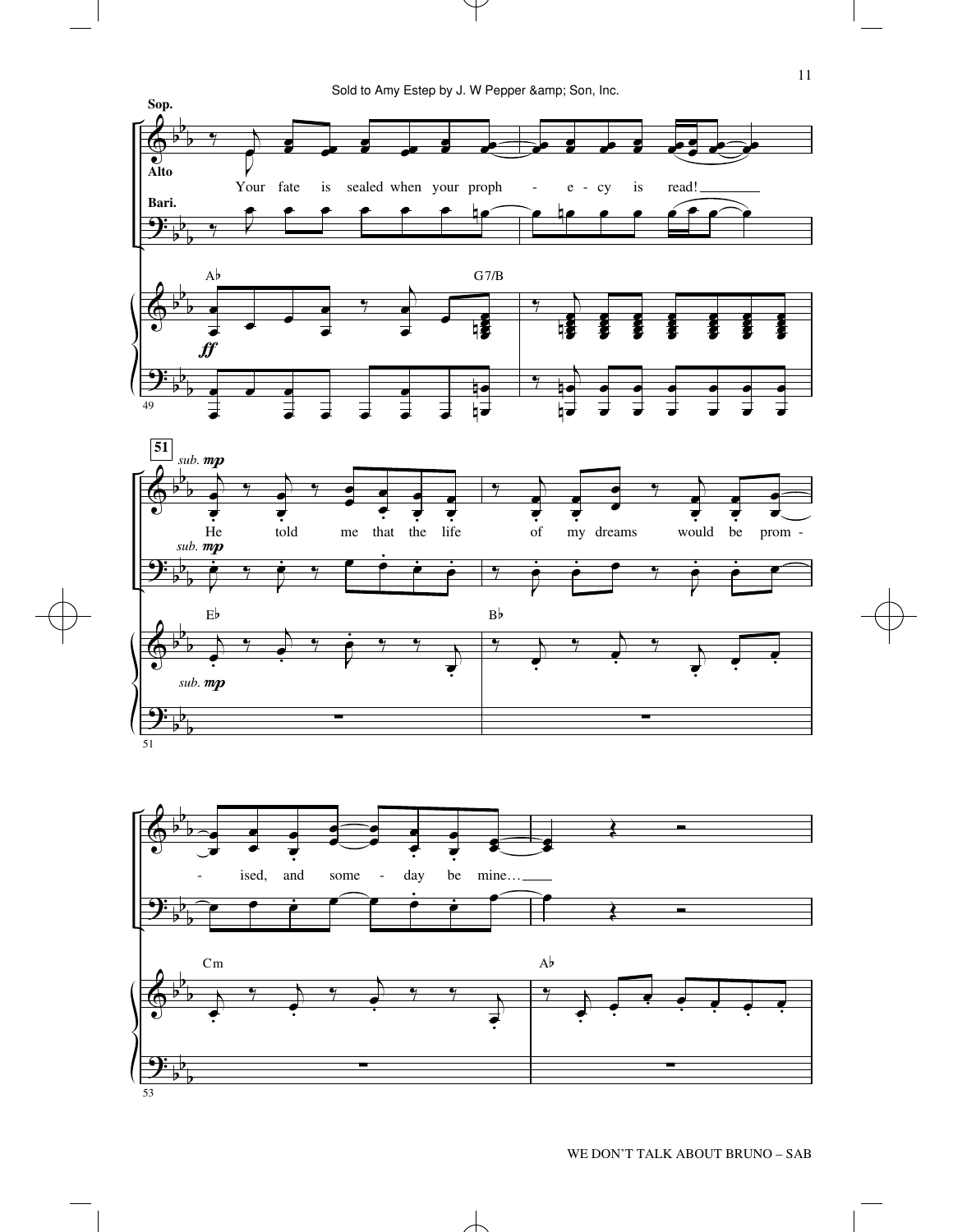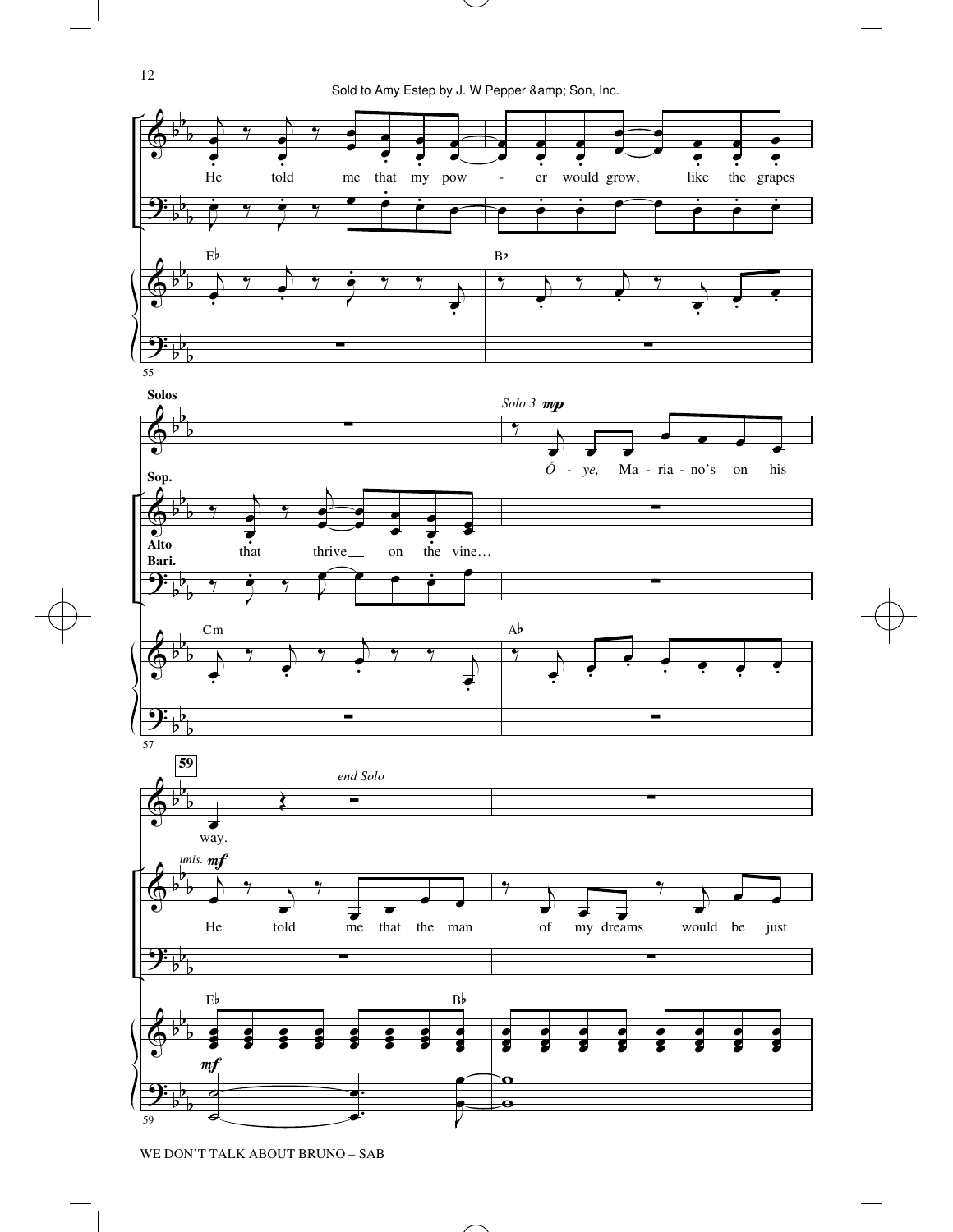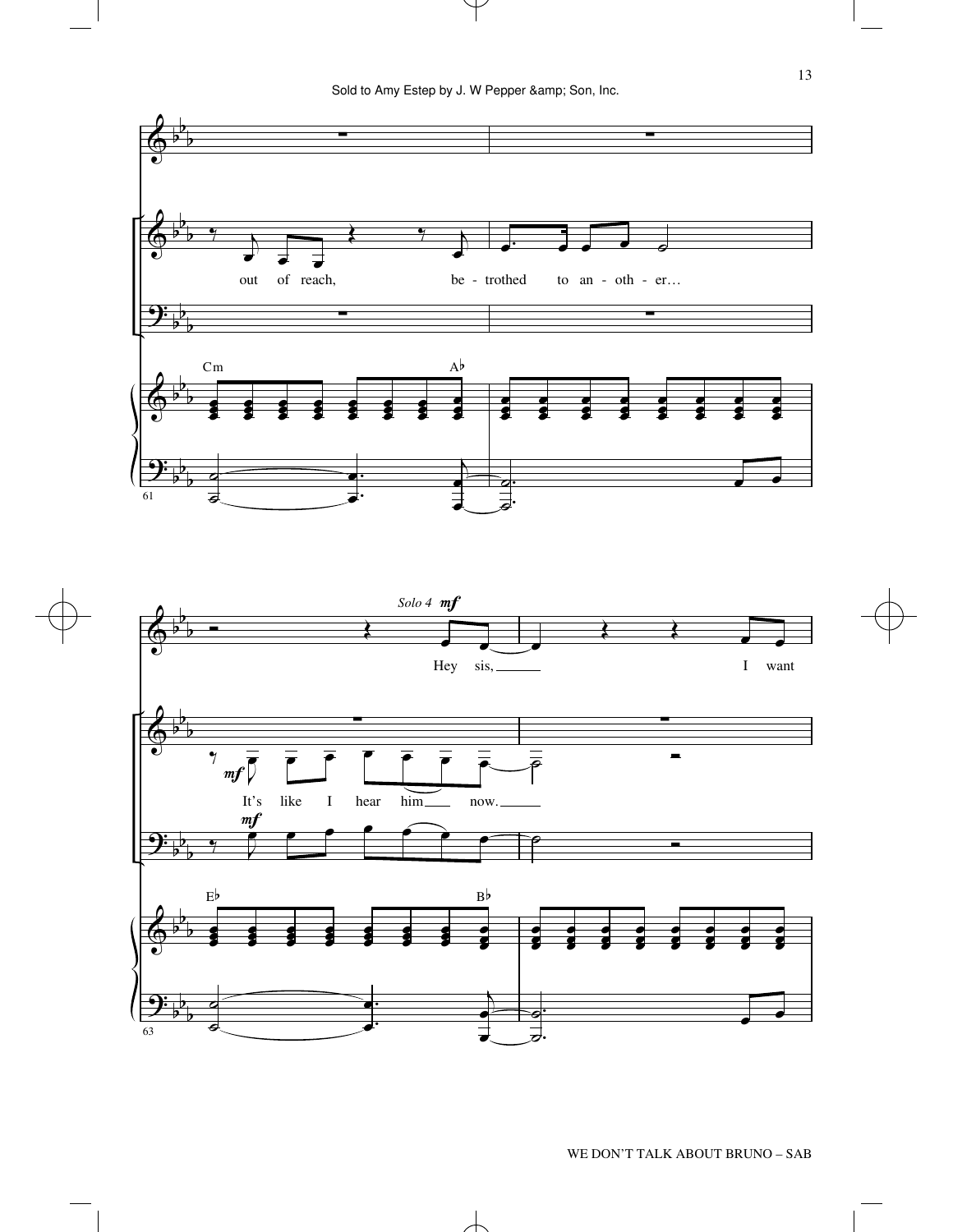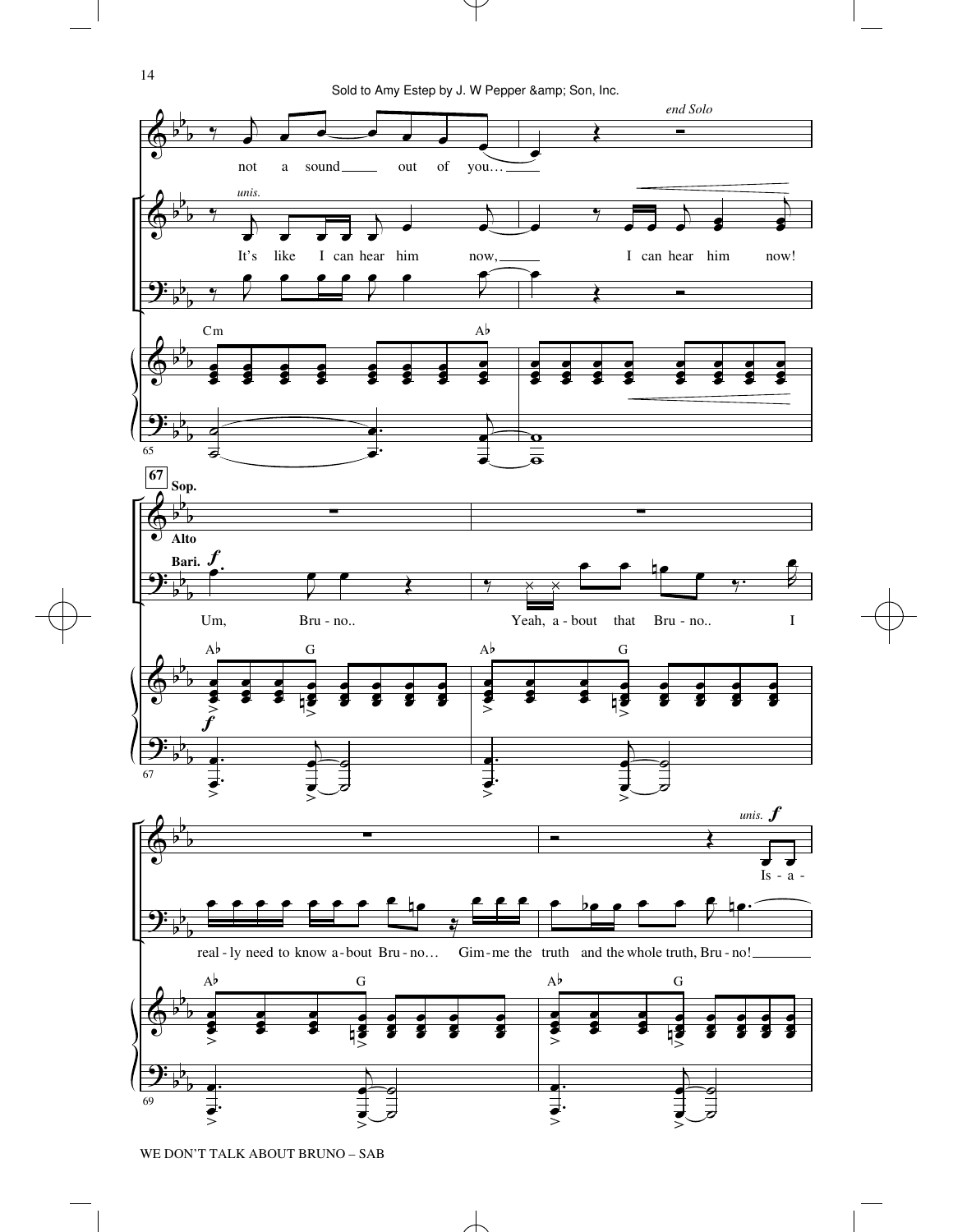Sold to Amy Estep by J. W Pepper & amp; Son, Inc.

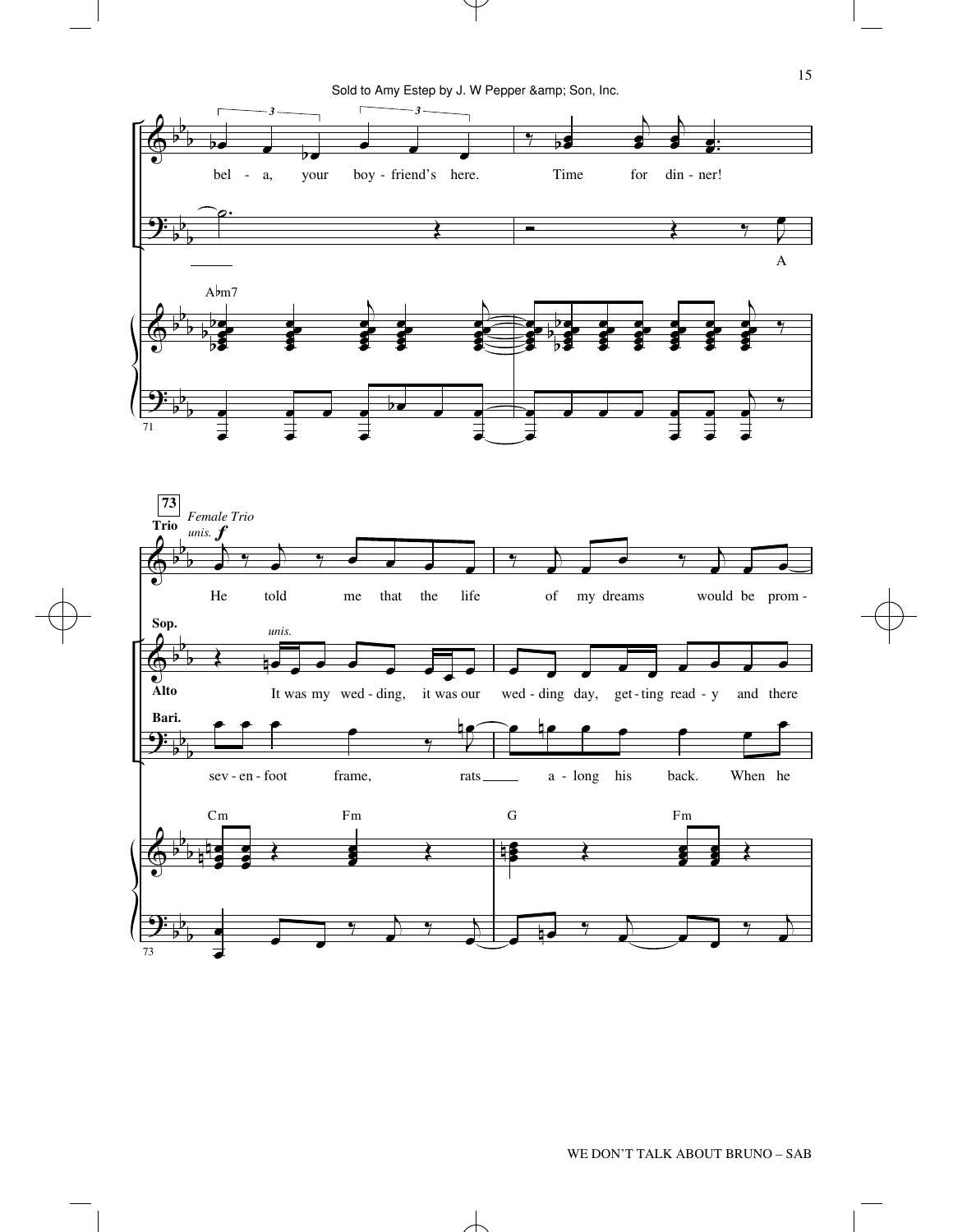Sold to Amy Estep by J. W Pepper & amp; Son, Inc.

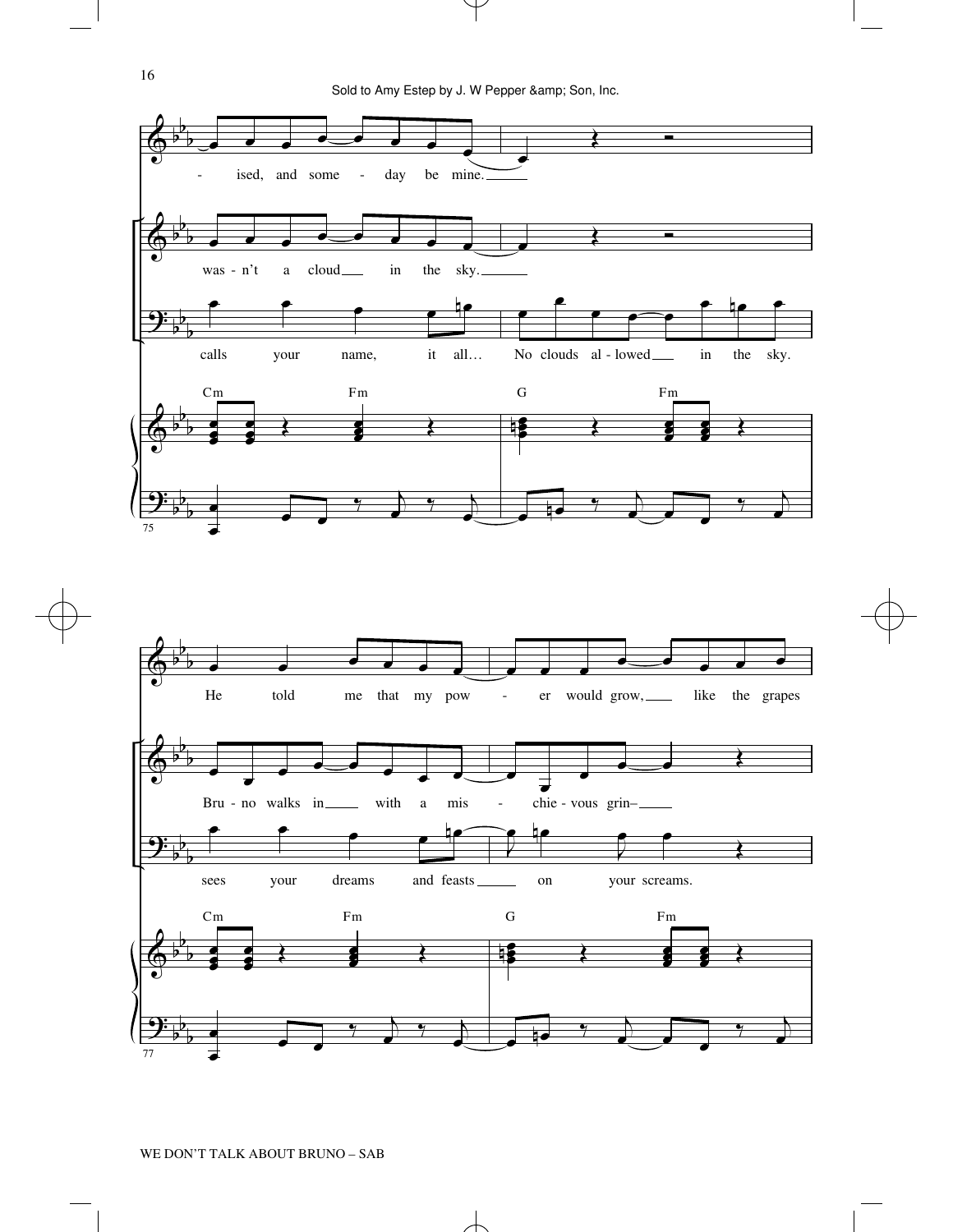

16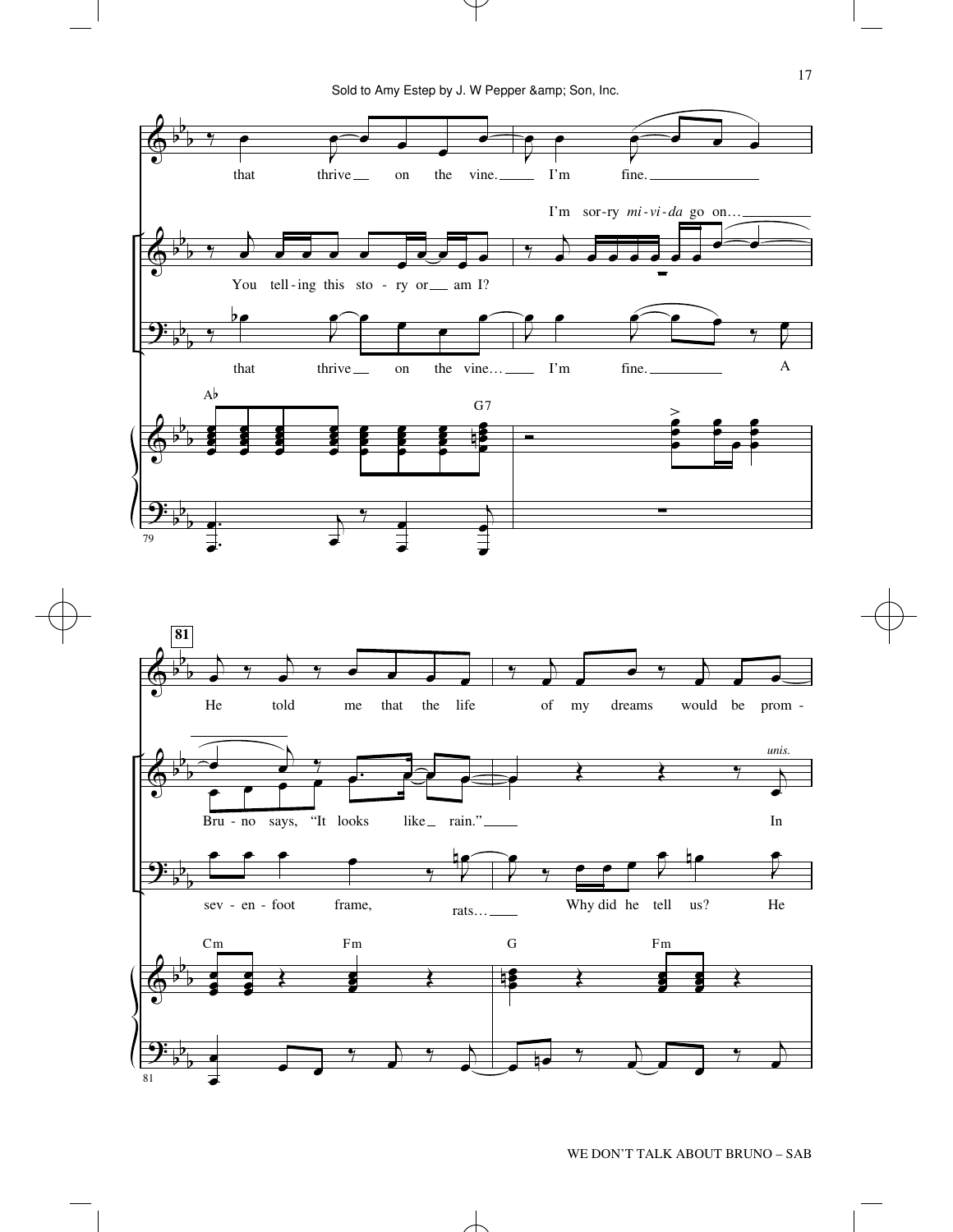

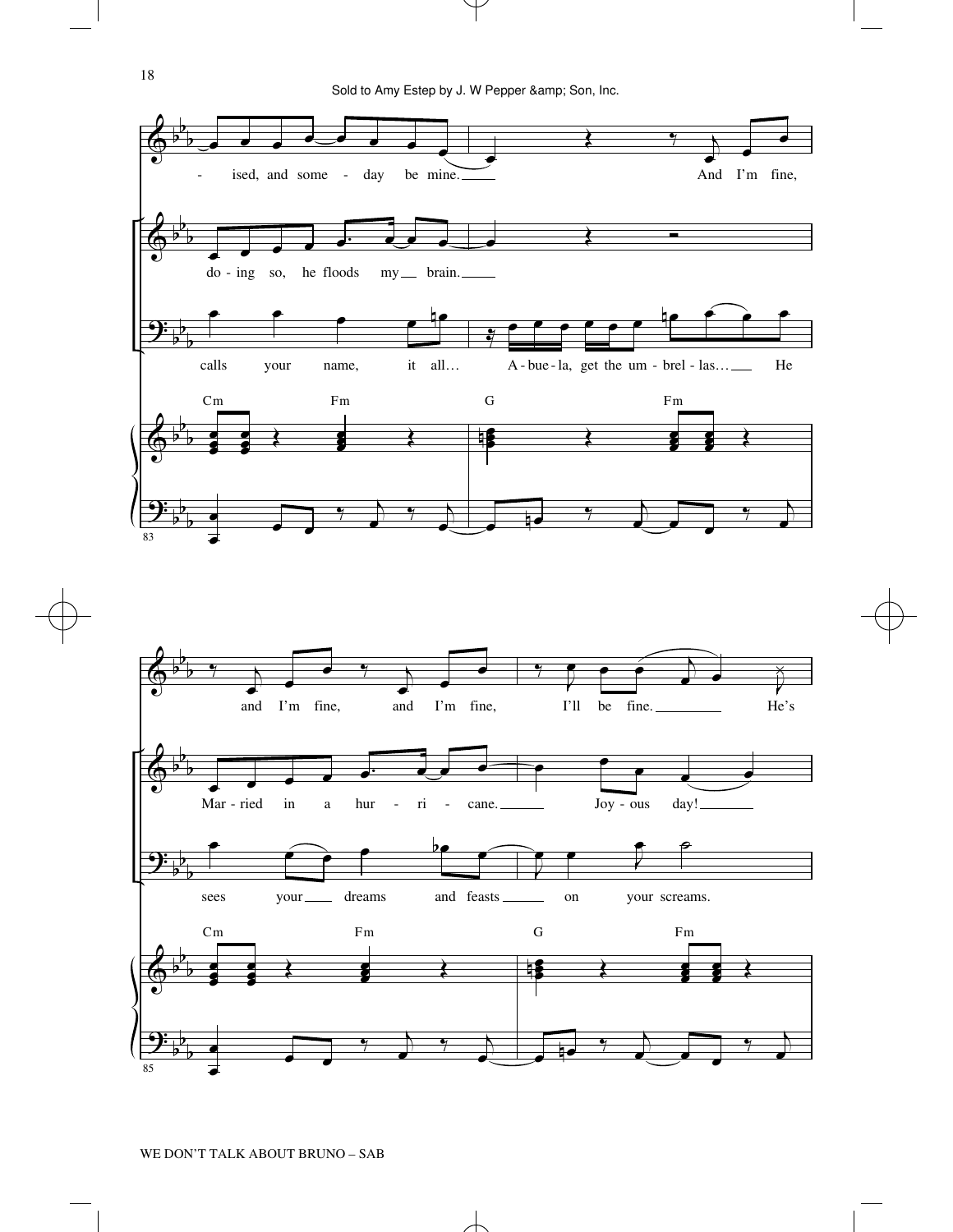

18